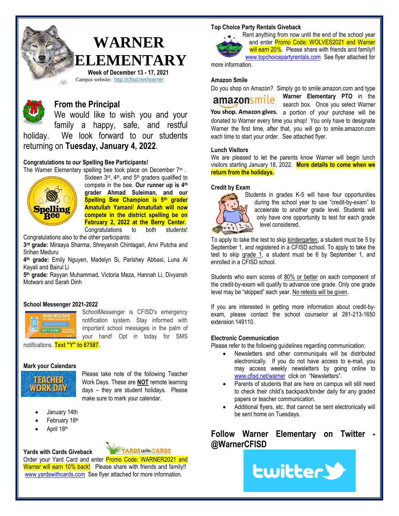

# **WARNER ELEMENTARY Week of December 13 - 17, 2021**

Campus website: <http://cfisd.net/warner>



# **From the Principal**

We would like to wish you and your family a happy, safe, and restful holiday. We look forward to our students returning on **Tuesday, January 4, 2022**.

## **Congratulations to our Spelling Bee Participants!**

The Warner Elementary spelling bee took place on December  $7<sup>th</sup>$ .



Sixteen  $3<sup>rd</sup>$ ,  $4<sup>th</sup>$ , and  $5<sup>th</sup>$  graders qualified to compete in the bee. **Our runner up is 4th grader Ahmad Suleiman, and our Spelling Bee Champion is 5th grader Amatullah Yamani**! **Amatullah will now compete in the district spelling be on February 2, 2022 at the Berry Center.** Congratulations to both students!

Congratulations also to the other participants:

**3 rd grade:** Miraaya Sharma, Shreyansh Chintagari, Anvi Putcha and Srihan Meduru

**4 th grade:** Emily Nguyen, Madelyn Si, Parishey Abbasi, Luna Al Kayali and Bairul Li

**5 th grade:** Rayyan Muhammad, Victoria Meza, Hannah Li, Divyansh Motwani and Sarah Dinh

## **School Messenger 2021-2022**



SchoolMessenger is CFISD's emergency notification system. Stay informed with important school messages in the palm of your hand! Opt in today for SMS

notifications. **Text "Y" to 67587**.

#### **Mark your Calendars**



Please take note of the following Teacher Work Days. These are **NOT** remote learning days – they are student holidays. Please make sure to mark your calendar.

- January 14th
- February 18th
- April 18th

# **Yards with Cards Giveback**



Order your Yard Card and enter Promo Code: WARNER2021 and Warner will earn 10% back! Please share with friends and family!! [www.yardswithcards.com](http://www.yardswithcards.com/) See flyer attached for more information.

#### **Top Choice Party Rentals Giveback**



Rent anything from now until the end of the school year and enter Promo Code: WOLVES2021 and Warner will earn 20%. Please share with friends and family!! [www.topchoicepartyrentals.com](http://www.topchoicepartyrentals.com/) See flyer attached for

more information.

#### **Amazon Smile**

Do you shop on Amazon? Simply go to smile.amazon.com and type

**Warner Elementary PTO** in the amazonsmile search box. Once you select Warner You shop. Amazon gives. a portion of your purchase will be donated to Warner every time you shop! You only have to designate Warner the first time, after that, you will go to smile.amazon.com each time to start your order. See attached flyer.

#### **Lunch Visitors**

We are pleased to let the parents know Warner will begin lunch visitors starting January 18, 2022. **More details to come when we return from the holidays.**

#### **Credit by Exam**



Students in grades K-5 will have four opportunities during the school year to use "credit-by-exam" to accelerate to another grade level. Students will only have one opportunity to test for each grade level considered.

To apply to take the test to skip kindergarten, a student must be 5 by September 1, and registered in a CFISD school. To apply to take the test to skip grade 1, a student must be 6 by September 1, and enrolled in a CFISD school.

Students who earn scores of 80% or better on each component of the credit-by-exam will qualify to advance one grade. Only one grade level may be "skipped" each year. No retests will be given.

If you are interested in getting more information about credit-byexam, please contact the school counselor at 281-213-1650 extension 149110.

#### **Electronic Communication**

Please refer to the following guidelines regarding communication:

- Newsletters and other communiqués will be distributed electronically. If you do not have access to e-mail, you may access weekly newsletters by going online to [www.cfisd.net/warner](http://www.cfisd.net/warner) click on "Newsletters".
- Parents of students that are here on campus will still need to check their child's backpack/binder daily for any graded papers or teacher communication.
- Additional flyers, etc. that cannot be sent electronically will be sent home on Tuesdays.

**Follow Warner Elementary on Twitter - @WarnerCFISD**